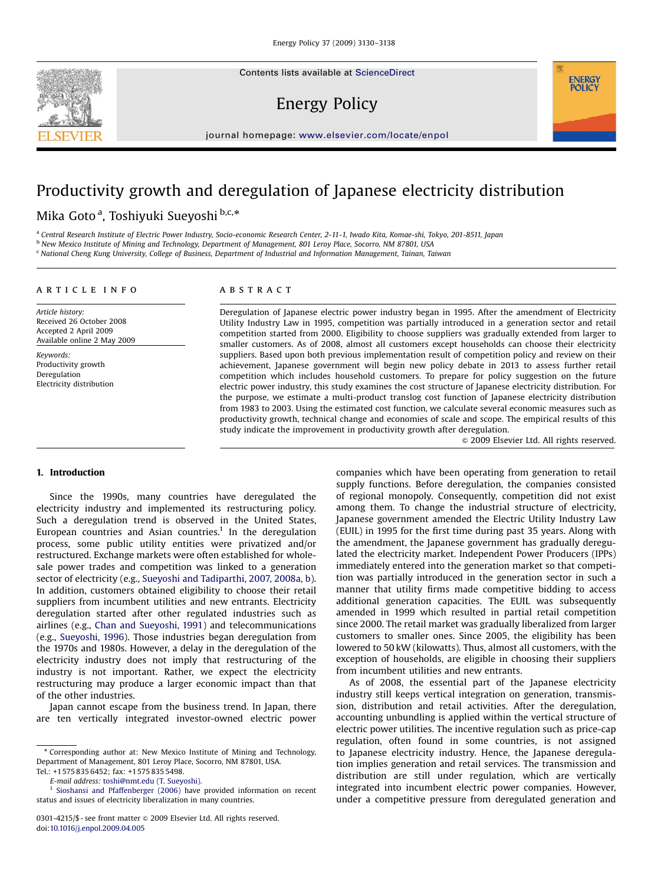Contents lists available at [ScienceDirect](www.sciencedirect.com/science/journal/jepo)

## Energy Policy



### Productivity growth and deregulation of Japanese electricity distribution

Mika Goto<sup>a</sup>, Toshiyuki Sueyoshi <sup>b,c,\*</sup>

a Central Research Institute of Electric Power Industry, Socio-economic Research Center, 2-11-1, Iwado Kita, Komae-shi, Tokyo, 201-8511, Japan

<sup>b</sup> New Mexico Institute of Mining and Technology, Department of Management, 801 Leroy Place, Socorro, NM 87801, USA

<sup>c</sup> National Cheng Kung University, College of Business, Department of Industrial and Information Management, Tainan, Taiwan

#### article info

Article history: Received 26 October 2008 Accepted 2 April 2009 Available online 2 May 2009

Keywords: Productivity growth Deregulation Electricity distribution

### **ABSTRACT**

Deregulation of Japanese electric power industry began in 1995. After the amendment of Electricity Utility Industry Law in 1995, competition was partially introduced in a generation sector and retail competition started from 2000. Eligibility to choose suppliers was gradually extended from larger to smaller customers. As of 2008, almost all customers except households can choose their electricity suppliers. Based upon both previous implementation result of competition policy and review on their achievement, Japanese government will begin new policy debate in 2013 to assess further retail competition which includes household customers. To prepare for policy suggestion on the future electric power industry, this study examines the cost structure of Japanese electricity distribution. For the purpose, we estimate a multi-product translog cost function of Japanese electricity distribution from 1983 to 2003. Using the estimated cost function, we calculate several economic measures such as productivity growth, technical change and economies of scale and scope. The empirical results of this study indicate the improvement in productivity growth after deregulation.

 $\odot$  2009 Elsevier Ltd. All rights reserved.

**ENERGY POLICY** 

#### 1. Introduction

Since the 1990s, many countries have deregulated the electricity industry and implemented its restructuring policy. Such a deregulation trend is observed in the United States, European countries and Asian countries.<sup>1</sup> In the deregulation process, some public utility entities were privatized and/or restructured. Exchange markets were often established for wholesale power trades and competition was linked to a generation sector of electricity (e.g., [Sueyoshi and Tadiparthi, 2007, 2008a, b\)](#page--1-0). In addition, customers obtained eligibility to choose their retail suppliers from incumbent utilities and new entrants. Electricity deregulation started after other regulated industries such as airlines (e.g., [Chan and Sueyoshi, 1991](#page--1-0)) and telecommunications (e.g., [Sueyoshi, 1996](#page--1-0)). Those industries began deregulation from the 1970s and 1980s. However, a delay in the deregulation of the electricity industry does not imply that restructuring of the industry is not important. Rather, we expect the electricity restructuring may produce a larger economic impact than that of the other industries.

Japan cannot escape from the business trend. In Japan, there are ten vertically integrated investor-owned electric power

companies which have been operating from generation to retail supply functions. Before deregulation, the companies consisted of regional monopoly. Consequently, competition did not exist among them. To change the industrial structure of electricity, Japanese government amended the Electric Utility Industry Law (EUIL) in 1995 for the first time during past 35 years. Along with the amendment, the Japanese government has gradually deregulated the electricity market. Independent Power Producers (IPPs) immediately entered into the generation market so that competition was partially introduced in the generation sector in such a manner that utility firms made competitive bidding to access additional generation capacities. The EUIL was subsequently amended in 1999 which resulted in partial retail competition since 2000. The retail market was gradually liberalized from larger customers to smaller ones. Since 2005, the eligibility has been lowered to 50 kW (kilowatts). Thus, almost all customers, with the exception of households, are eligible in choosing their suppliers from incumbent utilities and new entrants.

As of 2008, the essential part of the Japanese electricity industry still keeps vertical integration on generation, transmission, distribution and retail activities. After the deregulation, accounting unbundling is applied within the vertical structure of electric power utilities. The incentive regulation such as price-cap regulation, often found in some countries, is not assigned to Japanese electricity industry. Hence, the Japanese deregulation implies generation and retail services. The transmission and distribution are still under regulation, which are vertically integrated into incumbent electric power companies. However, under a competitive pressure from deregulated generation and



<sup>-</sup> Corresponding author at: New Mexico Institute of Mining and Technology, Department of Management, 801 Leroy Place, Socorro, NM 87801, USA. Tel.: +1575 835 6452; fax: +1575 835 5498.

E-mail address: [toshi@nmt.edu \(T. Sueyoshi\).](mailto:toshi@nmt.edu)

[Sioshansi and Pfaffenberger \(2006\)](#page--1-0) have provided information on recent status and issues of electricity liberalization in many countries.

<sup>0301-4215/\$ -</sup> see front matter  $\odot$  2009 Elsevier Ltd. All rights reserved. doi:[10.1016/j.enpol.2009.04.005](dx.doi.org/10.1016/j.enpol.2009.04.005)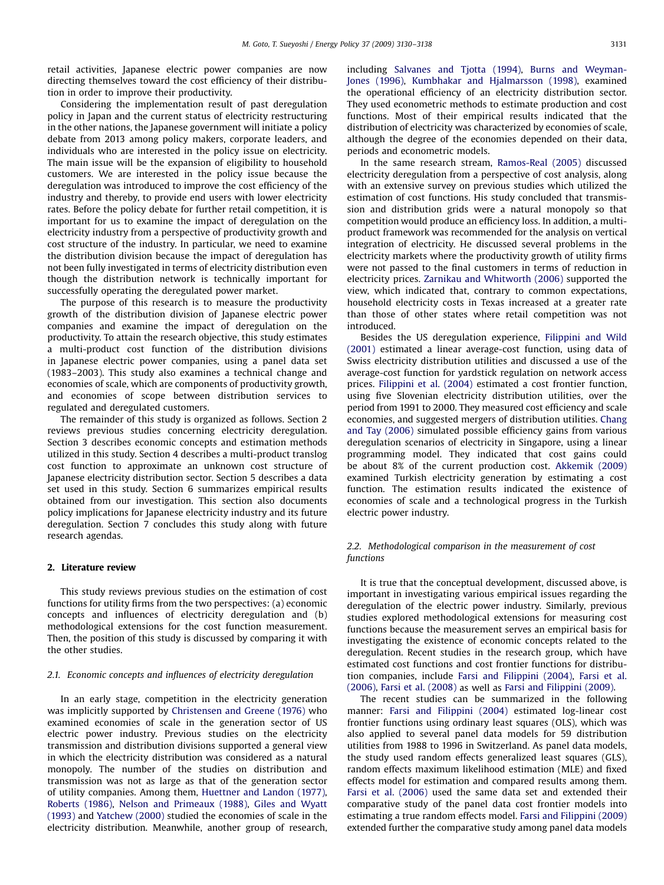retail activities, Japanese electric power companies are now directing themselves toward the cost efficiency of their distribution in order to improve their productivity.

Considering the implementation result of past deregulation policy in Japan and the current status of electricity restructuring in the other nations, the Japanese government will initiate a policy debate from 2013 among policy makers, corporate leaders, and individuals who are interested in the policy issue on electricity. The main issue will be the expansion of eligibility to household customers. We are interested in the policy issue because the deregulation was introduced to improve the cost efficiency of the industry and thereby, to provide end users with lower electricity rates. Before the policy debate for further retail competition, it is important for us to examine the impact of deregulation on the electricity industry from a perspective of productivity growth and cost structure of the industry. In particular, we need to examine the distribution division because the impact of deregulation has not been fully investigated in terms of electricity distribution even though the distribution network is technically important for successfully operating the deregulated power market.

The purpose of this research is to measure the productivity growth of the distribution division of Japanese electric power companies and examine the impact of deregulation on the productivity. To attain the research objective, this study estimates a multi-product cost function of the distribution divisions in Japanese electric power companies, using a panel data set (1983–2003). This study also examines a technical change and economies of scale, which are components of productivity growth, and economies of scope between distribution services to regulated and deregulated customers.

The remainder of this study is organized as follows. Section 2 reviews previous studies concerning electricity deregulation. Section 3 describes economic concepts and estimation methods utilized in this study. Section 4 describes a multi-product translog cost function to approximate an unknown cost structure of Japanese electricity distribution sector. Section 5 describes a data set used in this study. Section 6 summarizes empirical results obtained from our investigation. This section also documents policy implications for Japanese electricity industry and its future deregulation. Section 7 concludes this study along with future research agendas.

#### 2. Literature review

This study reviews previous studies on the estimation of cost functions for utility firms from the two perspectives: (a) economic concepts and influences of electricity deregulation and (b) methodological extensions for the cost function measurement. Then, the position of this study is discussed by comparing it with the other studies.

#### 2.1. Economic concepts and influences of electricity deregulation

In an early stage, competition in the electricity generation was implicitly supported by [Christensen and Greene \(1976\)](#page--1-0) who examined economies of scale in the generation sector of US electric power industry. Previous studies on the electricity transmission and distribution divisions supported a general view in which the electricity distribution was considered as a natural monopoly. The number of the studies on distribution and transmission was not as large as that of the generation sector of utility companies. Among them, [Huettner and Landon \(1977\),](#page--1-0) [Roberts \(1986\),](#page--1-0) [Nelson and Primeaux \(1988\),](#page--1-0) [Giles and Wyatt](#page--1-0) [\(1993\)](#page--1-0) and [Yatchew \(2000\)](#page--1-0) studied the economies of scale in the electricity distribution. Meanwhile, another group of research,

including [Salvanes and Tjotta \(1994\)](#page--1-0), [Burns and Weyman-](#page--1-0)[Jones \(1996\)](#page--1-0), [Kumbhakar and Hjalmarsson \(1998\),](#page--1-0) examined the operational efficiency of an electricity distribution sector. They used econometric methods to estimate production and cost functions. Most of their empirical results indicated that the distribution of electricity was characterized by economies of scale, although the degree of the economies depended on their data, periods and econometric models.

In the same research stream, [Ramos-Real \(2005\)](#page--1-0) discussed electricity deregulation from a perspective of cost analysis, along with an extensive survey on previous studies which utilized the estimation of cost functions. His study concluded that transmission and distribution grids were a natural monopoly so that competition would produce an efficiency loss. In addition, a multiproduct framework was recommended for the analysis on vertical integration of electricity. He discussed several problems in the electricity markets where the productivity growth of utility firms were not passed to the final customers in terms of reduction in electricity prices. [Zarnikau and Whitworth \(2006\)](#page--1-0) supported the view, which indicated that, contrary to common expectations, household electricity costs in Texas increased at a greater rate than those of other states where retail competition was not introduced.

Besides the US deregulation experience, [Filippini and Wild](#page--1-0) [\(2001\)](#page--1-0) estimated a linear average-cost function, using data of Swiss electricity distribution utilities and discussed a use of the average-cost function for yardstick regulation on network access prices. [Filippini et al. \(2004\)](#page--1-0) estimated a cost frontier function, using five Slovenian electricity distribution utilities, over the period from 1991 to 2000. They measured cost efficiency and scale economies, and suggested mergers of distribution utilities. [Chang](#page--1-0) [and Tay \(2006\)](#page--1-0) simulated possible efficiency gains from various deregulation scenarios of electricity in Singapore, using a linear programming model. They indicated that cost gains could be about 8% of the current production cost. [Akkemik \(2009\)](#page--1-0) examined Turkish electricity generation by estimating a cost function. The estimation results indicated the existence of economies of scale and a technological progress in the Turkish electric power industry.

#### 2.2. Methodological comparison in the measurement of cost functions

It is true that the conceptual development, discussed above, is important in investigating various empirical issues regarding the deregulation of the electric power industry. Similarly, previous studies explored methodological extensions for measuring cost functions because the measurement serves an empirical basis for investigating the existence of economic concepts related to the deregulation. Recent studies in the research group, which have estimated cost functions and cost frontier functions for distribution companies, include [Farsi and Filippini \(2004\)](#page--1-0), [Farsi et al.](#page--1-0) [\(2006\)](#page--1-0), [Farsi et al. \(2008\)](#page--1-0) as well as [Farsi and Filippini \(2009\)](#page--1-0).

The recent studies can be summarized in the following manner: [Farsi and Filippini \(2004\)](#page--1-0) estimated log-linear cost frontier functions using ordinary least squares (OLS), which was also applied to several panel data models for 59 distribution utilities from 1988 to 1996 in Switzerland. As panel data models, the study used random effects generalized least squares (GLS), random effects maximum likelihood estimation (MLE) and fixed effects model for estimation and compared results among them. [Farsi et al. \(2006\)](#page--1-0) used the same data set and extended their comparative study of the panel data cost frontier models into estimating a true random effects model. [Farsi and Filippini \(2009\)](#page--1-0) extended further the comparative study among panel data models